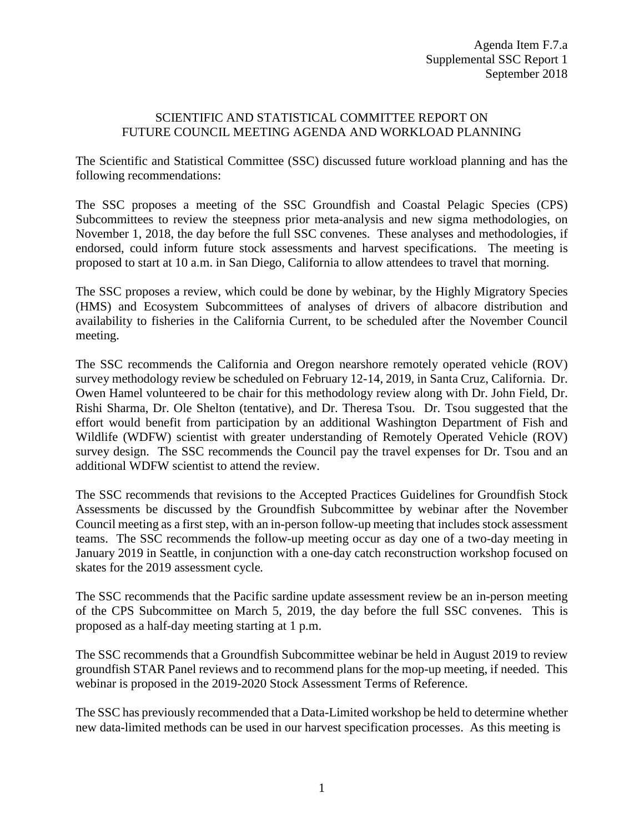## SCIENTIFIC AND STATISTICAL COMMITTEE REPORT ON FUTURE COUNCIL MEETING AGENDA AND WORKLOAD PLANNING

The Scientific and Statistical Committee (SSC) discussed future workload planning and has the following recommendations:

The SSC proposes a meeting of the SSC Groundfish and Coastal Pelagic Species (CPS) Subcommittees to review the steepness prior meta-analysis and new sigma methodologies, on November 1, 2018, the day before the full SSC convenes. These analyses and methodologies, if endorsed, could inform future stock assessments and harvest specifications. The meeting is proposed to start at 10 a.m. in San Diego, California to allow attendees to travel that morning.

The SSC proposes a review, which could be done by webinar, by the Highly Migratory Species (HMS) and Ecosystem Subcommittees of analyses of drivers of albacore distribution and availability to fisheries in the California Current, to be scheduled after the November Council meeting.

The SSC recommends the California and Oregon nearshore remotely operated vehicle (ROV) survey methodology review be scheduled on February 12-14, 2019, in Santa Cruz, California. Dr. Owen Hamel volunteered to be chair for this methodology review along with Dr. John Field, Dr. Rishi Sharma, Dr. Ole Shelton (tentative), and Dr. Theresa Tsou. Dr. Tsou suggested that the effort would benefit from participation by an additional Washington Department of Fish and Wildlife (WDFW) scientist with greater understanding of Remotely Operated Vehicle (ROV) survey design. The SSC recommends the Council pay the travel expenses for Dr. Tsou and an additional WDFW scientist to attend the review.

The SSC recommends that revisions to the Accepted Practices Guidelines for Groundfish Stock Assessments be discussed by the Groundfish Subcommittee by webinar after the November Council meeting as a first step, with an in-person follow-up meeting that includes stock assessment teams. The SSC recommends the follow-up meeting occur as day one of a two-day meeting in January 2019 in Seattle, in conjunction with a one-day catch reconstruction workshop focused on skates for the 2019 assessment cycle*.*

The SSC recommends that the Pacific sardine update assessment review be an in-person meeting of the CPS Subcommittee on March 5, 2019, the day before the full SSC convenes. This is proposed as a half-day meeting starting at 1 p.m.

The SSC recommends that a Groundfish Subcommittee webinar be held in August 2019 to review groundfish STAR Panel reviews and to recommend plans for the mop-up meeting, if needed. This webinar is proposed in the 2019-2020 Stock Assessment Terms of Reference.

The SSC has previously recommended that a Data-Limited workshop be held to determine whether new data-limited methods can be used in our harvest specification processes. As this meeting is